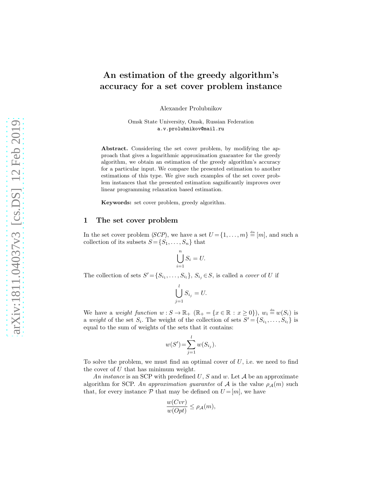# An estimation of the greedy algorithm's accuracy for a set cover problem instance

Alexander Prolubnikov

Omsk State University, Omsk, Russian Federation a.v.prolubnikov@mail.ru

Abstract. Considering the set cover problem, by modifying the approach that gives a logarithmic approximation guarantee for the greedy algorithm, we obtain an estimation of the greedy algorithm's accuracy for a particular input. We compare the presented estimation to another estimations of this type. We give such examples of the set cover problem instances that the presented estimation sagnificantly improves over linear programming relaxation based estimation.

Keywords: set cover problem, greedy algorithm.

### 1 The set cover problem

In the set cover problem (SCP), we have a set  $U = \{1, \ldots, m\} \stackrel{\text{dn}}{=} [m]$ , and such a collection of its subsets  $S = \{S_1, \ldots, S_n\}$  that

$$
\bigcup_{i=1}^{n} S_i = U.
$$

The collection of sets  $S' = \{S_{i_1}, \ldots, S_{i_l}\}, S_{i_j} \in S$ , is called a *cover* of U if

$$
\bigcup_{j=1}^{l} S_{i_j} = U.
$$

We have a *weight function*  $w : S \to \mathbb{R}_+$  ( $\mathbb{R}_+ = \{x \in \mathbb{R} : x \geq 0\}$ ),  $w_i \stackrel{\text{dn}}{=} w(S_i)$  is a weight of the set  $S_i$ . The weight of the collection of sets  $S' = \{S_{i_1}, \ldots, S_{i_l}\}\$ is equal to the sum of weights of the sets that it contains:

$$
w(S') = \sum_{j=1}^{l} w(S_{i_j}).
$$

To solve the problem, we must find an optimal cover of  $U$ , i.e. we need to find the cover of  $U$  that has minimum weight.

An instance is an SCP with predefined  $U, S$  and w. Let  $A$  be an approximate algorithm for SCP. An approximation guarantee of A is the value  $\rho_A(m)$  such that, for every instance  $P$  that may be defined on  $U = [m]$ , we have

$$
\frac{w(Cvr)}{w(Opt)} \le \rho_{\mathcal{A}}(m),
$$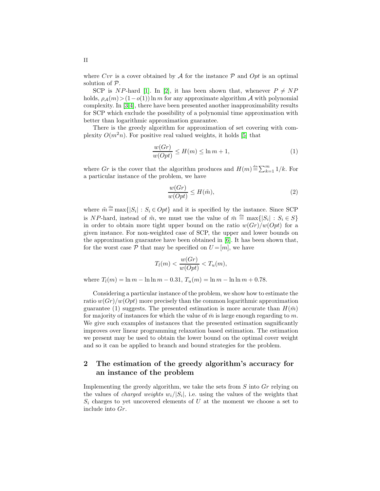where Cvr is a cover obtained by A for the instance  $P$  and Opt is an optimal solution of P.

SCP is NP-hard [\[1\]](#page-9-0). In [\[2\]](#page-9-1), it has been shown that, whenever  $P \neq NP$ holds,  $\rho_A(m)$  > (1 – o(1)) ln m for any approximate algorithm A with polynomial complexity. In [\[3](#page-9-2)[,4\]](#page-9-3), there have been presented another inapproximability results for SCP which exclude the possibility of a polynomial time approximation with better than logarithmic approximation guarantee.

There is the greedy algorithm for approximation of set covering with complexity  $O(m^2n)$ . For positive real valued weights, it holds [\[5\]](#page-9-4) that

$$
\frac{w(Gr)}{w(Opt)} \le H(m) \le \ln m + 1,\tag{1}
$$

where Gr is the cover that the algorithm produces and  $H(m) \stackrel{\text{dn}}{=} \sum_{k=1}^{m} 1/k$ . For a particular instance of the problem, we have

$$
\frac{w(Gr)}{w(Opt)} \le H(\tilde{m}),\tag{2}
$$

where  $\tilde{m} \stackrel{\text{dn}}{=} \max\{|S_i| : S_i \in Opt\}$  and it is specified by the instance. Since SCP is NP-hard, instead of  $\tilde{m}$ , we must use the value of  $\bar{m} \stackrel{\text{dn}}{=} \max\{|S_i| : S_i \in S\}$ in order to obtain more tight upper bound on the ratio  $w(Gr)/w(Opt)$  for a given instance. For non-weighted case of SCP, the upper and lower bounds on the approximation guarantee have been obtained in [\[6\]](#page-9-5). It has been shown that, for the worst case  $P$  that may be specified on  $U = [m]$ , we have

$$
T_l(m) < \frac{w(Gr)}{w(Opt)} < T_u(m),
$$

where  $T_l(m) = \ln m - \ln \ln m - 0.31$ ,  $T_u(m) = \ln m - \ln \ln m + 0.78$ .

Considering a particular instance of the problem, we show how to estimate the ratio  $w(Gr)/w(Opt)$  more precisely than the common logarithmic approximation guarantee (1) suggests. The presented estimation is more accurate than  $H(\bar{m})$ for majority of instances for which the value of  $\bar{m}$  is large enough regarding to m. We give such examples of instances that the presented estimation sagnificantly improves over linear programming relaxation based estimation. The estimation we present may be used to obtain the lower bound on the optimal cover weight and so it can be applied to branch and bound strategies for the problem.

## 2 The estimation of the greedy algorithm's accuracy for an instance of the problem

Implementing the greedy algorithm, we take the sets from  $S$  into  $Gr$  relying on the values of *charged weights*  $w_i/|S_i|$ , i.e. using the values of the weights that  $S_i$  charges to yet uncovered elements of U at the moment we choose a set to include into Gr.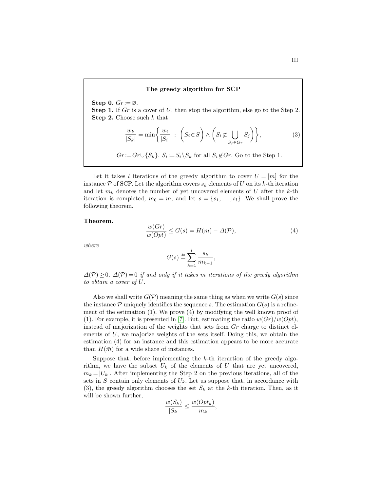### The greedy algorithm for SCP

Step 0.  $Gr := \emptyset$ . **Step 1.** If Gr is a cover of U, then stop the algorithm, else go to the Step 2. **Step 2.** Choose such  $k$  that  $w_k$  $=\min\left\{$  $w_i$  $\sqrt{ }$  $\lambda$  $\sqrt{2}$  $\overline{1}$  $\Big\},$  (3)

$$
\frac{w_k}{|S_k|} = \min\left\{\frac{w_i}{|S_i|} : \left(S_i \in S\right) \land \left(S_i \not\subset \bigcup_{S_j \in Gr} S_j\right)\right\},\tag{3}
$$

$$
Gr := Gr \cup \{S_k\}. S_i := S_i \backslash S_k \text{ for all } S_i \notin Gr. \text{ Go to the Step 1.}
$$

Let it takes l iterations of the greedy algorithm to cover  $U = [m]$  for the instance  $P$  of SCP. Let the algorithm covers  $s_k$  elements of U on its k-th iteration and let  $m_k$  denotes the number of yet uncovered elements of U after the k-th iteration is completed,  $m_0 = m$ , and let  $s = \{s_1, \ldots, s_l\}$ . We shall prove the following theorem.

### Theorem.

$$
\frac{w(Gr)}{w(Opt)} \le G(s) = H(m) - \Delta(\mathcal{P}),\tag{4}
$$

where

$$
G(s) \stackrel{d_n}{=} \sum_{k=1}^{l} \frac{s_k}{m_{k-1}},
$$

 $\Delta(\mathcal{P}) > 0$ .  $\Delta(\mathcal{P}) = 0$  if and only if it takes m iterations of the greedy algorithm to obtain a cover of U.

Also we shall write  $G(\mathcal{P})$  meaning the same thing as when we write  $G(s)$  since the instance  $\mathcal P$  uniquely identifies the sequence s. The estimation  $G(s)$  is a refinement of the estimation  $(1)$ . We prove  $(4)$  by modifying the well known proof of (1). For example, it is presented in [\[7\]](#page-9-6). But, estimating the ratio  $w(Gr)/w(Opt)$ , instead of majorization of the weights that sets from Gr charge to distinct elements of U, we majorize weights of the sets itself. Doing this, we obtain the estimation (4) for an instance and this estimation appears to be more accurate than  $H(\bar{m})$  for a wide share of instances.

Suppose that, before implementing the  $k$ -th iterartion of the greedy algorithm, we have the subset  $U_k$  of the elements of U that are yet uncovered,  $m_k = |U_k|$ . After implementing the Step 2 on the previous iterations, all of the sets in  $S$  contain only elements of  $U_k$ . Let us suppose that, in accordance with (3), the greedy algorithm chooses the set  $S_k$  at the k-th iteration. Then, as it will be shown further,

$$
\frac{w(S_k)}{|S_k|} \le \frac{w(Opt_k)}{m_k},
$$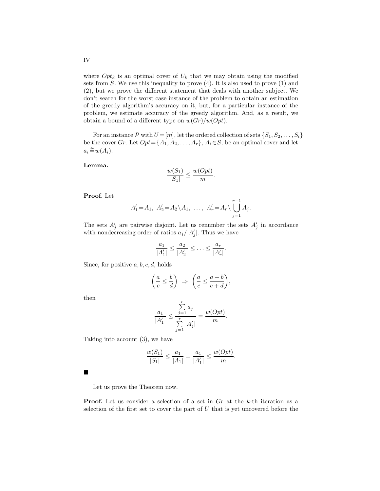where  $Opt_k$  is an optimal cover of  $U_k$  that we may obtain using the modified sets from  $S$ . We use this inequality to prove  $(4)$ . It is also used to prove  $(1)$  and (2), but we prove the different statement that deals with another subject. We don't search for the worst case instance of the problem to obtain an estimation of the greedy algorithm's accuracy on it, but, for a particular instance of the problem, we estimate accuracy of the greedy algorithm. And, as a result, we obtain a bound of a different type on  $w(Gr)/w(Opt)$ .

For an instance  $P$  with  $U = [m]$ , let the ordered collection of sets  $\{S_1, S_2, \ldots, S_l\}$ be the cover Gr. Let  $Opt = \{A_1, A_2, \ldots, A_r\}$ ,  $A_i \in S$ , be an optimal cover and let  $a_i \stackrel{\text{dn}}{=} w(A_i).$ 

Lemma.

$$
\frac{w(S_1)}{|S_1|} \le \frac{w(Opt)}{m}.
$$

Proof. Let

$$
A'_1 = A_1, A'_2 = A_2 \setminus A_1, \ldots, A'_r = A_r \setminus \bigcup_{j=1}^{r-1} A_j.
$$

The sets  $A'_{j}$  are pairwise disjoint. Let us renumber the sets  $A'_{j}$  in accordance with nondecreasing order of ratios  $a_j/|A'_j|$ . Thus we have

$$
\frac{a_1}{|A'_1|} \le \frac{a_2}{|A'_2|} \le \dots \le \frac{a_r}{|A'_r|}
$$

.

Since, for positive  $a, b, c, d$ , holds

$$
\left(\frac{a}{c}\leq\frac{b}{d}\right) \Rightarrow \left(\frac{a}{c}\leq\frac{a+b}{c+d}\right),\end{aligned}
$$

then

$$
\frac{a_1}{|A'_1|} \le \frac{\sum\limits_{j=1}^{n} a_j}{\sum\limits_{j=1}^{r} |A'_j|} = \frac{w(Opt)}{m}.
$$

 $\overline{r}$ 

Taking into account (3), we have

$$
\frac{w(S_1)}{|S_1|} \le \frac{a_1}{|A_1|} = \frac{a_1}{|A'_1|} \le \frac{w(Opt)}{m}.
$$

 $\blacksquare$ 

Let us prove the Theorem now.

**Proof.** Let us consider a selection of a set in Gr at the k-th iteration as a selection of the first set to cover the part of  $U$  that is yet uncovered before the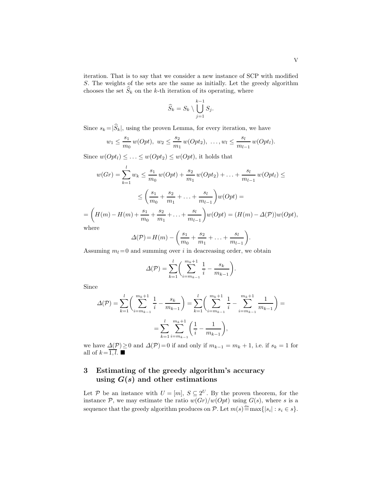iteration. That is to say that we consider a new instance of SCP with modified S. The weights of the sets are the same as initially. Let the greedy algorithm chooses the set  $\hat{S}_k$  on the k-th iteration of its operating, where

$$
\widehat{S}_k = S_k \setminus \bigcup_{j=1}^{k-1} S_j.
$$

Since  $s_k = |\widehat{S}_k|$ , using the proven Lemma, for every iteration, we have

$$
w_1 \leq \frac{s_1}{m_0} w(Opt), w_2 \leq \frac{s_2}{m_1} w(Opt_2), \ldots, w_l \leq \frac{s_l}{m_{l-1}} w(Opt_l).
$$

Since  $w(Opt_l) \leq \ldots \leq w(Opt_2) \leq w(Opt)$ , it holds that

$$
w(Gr) = \sum_{k=1}^{l} w_k \le \frac{s_1}{m_0} w(Opt) + \frac{s_2}{m_1} w(Opt_2) + \dots + \frac{s_l}{m_{l-1}} w(Opt_l) \le
$$
  

$$
\le \left(\frac{s_1}{m_0} + \frac{s_2}{m_1} + \dots + \frac{s_l}{m_{l-1}}\right) w(Opt) =
$$
  

$$
= \left(H(m) - H(m) + \frac{s_1}{m_0} + \frac{s_2}{m_1} + \dots + \frac{s_l}{m_{l-1}}\right) w(Opt) = (H(m) - \Delta(\mathcal{P})) w(Opt),
$$
  
where

where

$$
\Delta(\mathcal{P}) = H(m) - \left(\frac{s_1}{m_0} + \frac{s_2}{m_1} + \ldots + \frac{s_l}{m_{l-1}}\right).
$$

Assuming  $m_l = 0$  and summing over i in deacreasing order, we obtain

$$
\Delta(\mathcal{P}) = \sum_{k=1}^{l} \left( \sum_{i=m_{k-1}}^{m_k+1} \frac{1}{i} - \frac{s_k}{m_{k-1}} \right).
$$

Since

$$
\Delta(\mathcal{P}) = \sum_{k=1}^{l} \left( \sum_{i=m_{k-1}}^{m_k+1} \frac{1}{i} - \frac{s_k}{m_{k-1}} \right) = \sum_{k=1}^{l} \left( \sum_{i=m_{k-1}}^{m_k+1} \frac{1}{i} - \sum_{i=m_{k-1}}^{m_k+1} \frac{1}{m_{k-1}} \right) =
$$

$$
= \sum_{k=1}^{l} \sum_{i=m_{k-1}}^{m_k+1} \left( \frac{1}{i} - \frac{1}{m_{k-1}} \right),
$$

we have  $\Delta(\mathcal{P}) \ge 0$  and  $\Delta(\mathcal{P}) = 0$  if and only if  $m_{k-1} = m_k + 1$ , i.e. if  $s_k = 1$  for all of  $k=\overline{1, l}$ .

# 3 Estimating of the greedy algorithm's accuracy using  $G(s)$  and other estimations

Let P be an instance with  $U = [m], S \subseteq 2^U$ . By the proven theorem, for the instance P, we may estimate the ratio  $w(Gr)/w(Opt)$  using  $G(s)$ , where s is a sequence that the greedy algorithm produces on  $\mathcal{P}$ . Let  $m(s) \stackrel{\text{dn}}{=} \max\{|s_i| : s_i \in s\}.$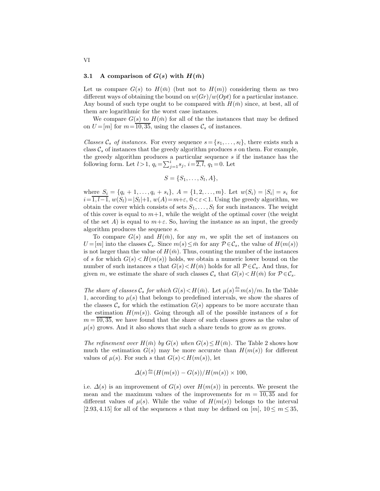### 3.1 A comparison of  $G(s)$  with  $H(\bar{m})$

Let us compare  $G(s)$  to  $H(\bar{m})$  (but not to  $H(m)$ ) considering them as two different ways of obtaining the bound on  $w(Gr)/w(Opt)$  for a particular instance. Any bound of such type ought to be compared with  $H(\bar{m})$  since, at best, all of them are logarithmic for the worst case instances.

We compare  $G(s)$  to  $H(\bar{m})$  for all of the the instances that may be defined on  $U = [m]$  for  $m = \overline{10, 35}$ , using the classes  $\mathcal{C}_s$  of instances.

Classes  $\mathcal{C}_s$  of instances. For every sequence  $s = \{s_1, \ldots, s_l\}$ , there exists such a class  $C_s$  of instances that the greedy algorithm produces s on them. For example, the greedy algorithm produces a particular sequence  $s$  if the instance has the following form. Let  $l > 1$ ,  $q_i = \sum_{j=1}^i s_j$ ,  $i = \overline{2, l}$ ,  $q_1 = 0$ . Let

$$
S = \{S_1, \ldots, S_l, A\},\
$$

where  $S_i = \{q_i + 1, \ldots, q_i + s_i\}, A = \{1, 2, \ldots, m\}.$  Let  $w(S_i) = |S_i| = s_i$  for  $i=1, l-1, w(S_l) = |S_l|+1, w(A) = m+\varepsilon, 0 < \varepsilon < 1$ . Using the greedy algorithm, we obtain the cover which consists of sets  $S_1, \ldots, S_l$  for such instances. The weight of this cover is equal to  $m+1$ , while the weight of the optimal cover (the weight of the set A) is equal to  $m+\varepsilon$ . So, having the instance as an input, the greedy algorithm produces the sequence s.

To compare  $G(s)$  and  $H(\bar{m})$ , for any m, we split the set of instances on  $U = [m]$  into the classes  $\mathcal{C}_s$ . Since  $m(s) \leq \bar{m}$  for any  $\mathcal{P} \in \mathcal{C}_s$ , the value of  $H(m(s))$ is not larger than the value of  $H(\bar{m})$ . Thus, counting the number of the instances of s for which  $G(s) < H(m(s))$  holds, we obtain a numeric lower bound on the number of such instances s that  $G(s) < H(\bar{m})$  holds for all  $\mathcal{P} \in \mathcal{C}_s$ . And thus, for given m, we estimate the share of such classes  $\mathcal{C}_s$  that  $G(s) < H(\bar{m})$  for  $\mathcal{P} \in \mathcal{C}_s$ .

The share of classes  $\mathcal{C}_s$  for which  $G(s) < H(\bar{m})$ . Let  $\mu(s) \stackrel{\text{dn}}{=} m(s)/m$ . In the Table 1, according to  $\mu(s)$  that belongs to predefined intervals, we show the shares of the classes  $\mathcal{C}_s$  for which the estimation  $G(s)$  appears to be more accurate than the estimation  $H(m(s))$ . Going through all of the possible instances of s for  $m = \overline{10, 35}$ , we have found that the share of such classes grows as the value of  $\mu(s)$  grows. And it also shows that such a share tends to grow as m grows.

The refinement over  $H(\bar{m})$  by  $G(s)$  when  $G(s) \leq H(\bar{m})$ . The Table 2 shows how much the estimation  $G(s)$  may be more accurate than  $H(m(s))$  for different values of  $\mu(s)$ . For such s that  $G(s) < H(m(s))$ , let

$$
\Delta(s) \stackrel{\text{dn}}{=} (H(m(s)) - G(s))/H(m(s)) \times 100,
$$

i.e.  $\Delta(s)$  is an improvement of  $G(s)$  over  $H(m(s))$  in percents. We present the mean and the maximum values of the improvements for  $m = 10,35$  and for different values of  $\mu(s)$ . While the value of  $H(m(s))$  belongs to the interval [2.93, 4.15] for all of the sequences s that may be defined on [m],  $10 \le m \le 35$ ,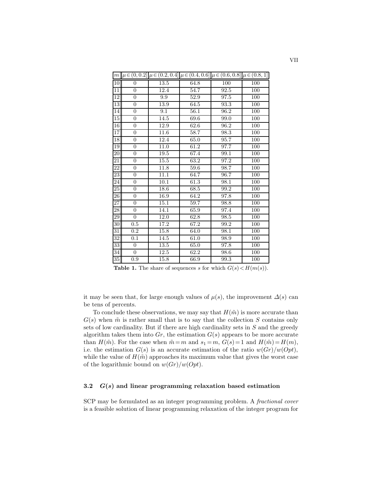|                  |                |      | $m\mu \in (0, 0.2]$ $\mu \in (0.2, 0.4]$ $\mu \in (0.4, 0.6]$ $\mu \in (0.6, 0.8]$ $\mu \in (0.8, 1]$ |      |     |
|------------------|----------------|------|-------------------------------------------------------------------------------------------------------|------|-----|
| 10               | $\overline{0}$ | 13.5 | 64.8                                                                                                  | 100  | 100 |
| 11               | $\overline{0}$ | 12.4 | 54.7                                                                                                  | 92.5 | 100 |
| 12               | $\overline{0}$ | 9.9  | 52.9                                                                                                  | 97.5 | 100 |
| 13               | $\overline{0}$ | 13.9 | 64.5                                                                                                  | 93.3 | 100 |
| $\overline{14}$  | $\overline{0}$ | 9.1  | 56.1                                                                                                  | 96.2 | 100 |
| 15               | $\overline{0}$ | 14.5 | 69.6                                                                                                  | 99.0 | 100 |
| 16               | $\overline{0}$ | 12.9 | 62.6                                                                                                  | 96.2 | 100 |
| $\overline{17}$  | $\overline{0}$ | 11.6 | 58.7                                                                                                  | 98.3 | 100 |
| 18               | $\overline{0}$ | 12.4 | 65.0                                                                                                  | 95.7 | 100 |
| 19               | $\overline{0}$ | 11.0 | 61.2                                                                                                  | 97.7 | 100 |
| 20               | $\overline{0}$ | 19.5 | 67.4                                                                                                  | 99.1 | 100 |
| 21               | $\overline{0}$ | 15.5 | 63.2                                                                                                  | 97.2 | 100 |
| $\overline{22}$  | $\overline{0}$ | 11.8 | 59.6                                                                                                  | 98.7 | 100 |
| $\overline{23}$  | $\overline{0}$ | 11.1 | 64.7                                                                                                  | 96.7 | 100 |
| 24               | $\overline{0}$ | 10.1 | 61.3                                                                                                  | 98.1 | 100 |
| 25               | $\overline{0}$ | 18.6 | 68.5                                                                                                  | 99.2 | 100 |
| $\overline{26}$  | $\overline{0}$ | 16.9 | 64.2                                                                                                  | 97.8 | 100 |
| 27               | $\overline{0}$ | 15.1 | 59.7                                                                                                  | 98.8 | 100 |
| 28               | $\overline{0}$ | 14.1 | 65.9                                                                                                  | 97.4 | 100 |
| 29               | $\overline{0}$ | 12.0 | 62.8                                                                                                  | 98.5 | 100 |
| 30               | 0.5            | 17.2 | 67.2                                                                                                  | 99.2 | 100 |
| 31               | 0.2            | 15.8 | 64.0                                                                                                  | 98.1 | 100 |
| $\overline{32}$  | 0.1            | 14.5 | 61.0                                                                                                  | 98.9 | 100 |
| 33               | $\overline{0}$ | 13.5 | 65.0                                                                                                  | 97.8 | 100 |
| 34               | $\overline{0}$ | 12.5 | 62.2                                                                                                  | 98.6 | 100 |
| $35\overline{)}$ | 0.9            | 15.8 | 66.9                                                                                                  | 99.3 | 100 |

**Table 1.** The share of sequences s for which  $G(s) < H(m(s))$ .

it may be seen that, for large enough values of  $\mu(s)$ , the improvement  $\Delta(s)$  can be tens of percents.

To conclude these observations, we may say that  $H(\tilde{m})$  is more accurate than  $G(s)$  when  $\tilde{m}$  is rather small that is to say that the collection S contains only sets of low cardinality. But if there are high cardinality sets in  $S$  and the greedy algorithm takes them into  $Gr$ , the estimation  $G(s)$  appears to be more accurate than  $H(\tilde{m})$ . For the case when  $\tilde{m}=m$  and  $s_1=m$ ,  $G(s)=1$  and  $H(\tilde{m})=H(m)$ , i.e. the estimation  $G(s)$  is an accurate estimation of the ratio  $w(Gr)/w(Opt)$ , while the value of  $H(\tilde{m})$  approaches its maximum value that gives the worst case of the logarithmic bound on  $w(Gr)/w(Opt)$ .

### 3.2  $G(s)$  and linear programming relaxation based estimation

SCP may be formulated as an integer programming problem. A *fractional cover* is a feasible solution of linear programming relaxation of the integer program for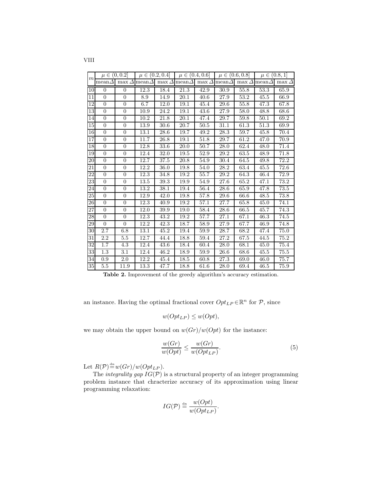| m  | $\mu \in (0, 0.2]$ |                | $\mu \in (0.2, 0.4]$ |      | $\mu \in (0.4, 0.6]$            |      | $\mu \in (0.6, 0.8]$            |               | $\mu \in (0.8, 1]$ |                   |
|----|--------------------|----------------|----------------------|------|---------------------------------|------|---------------------------------|---------------|--------------------|-------------------|
|    | $mean\Delta$       | $\max \Delta$  | $mean\Delta$         |      | $\max \Delta \text{mean}\Delta$ |      | $\max \Delta \text{mean}\Delta$ | $\max \Delta$ | $mean \Delta$      | $\max \Delta$     |
| 10 | $\overline{0}$     | $\theta$       | 12.3                 | 18.4 | 21.3                            | 42.9 | 30.9                            | 55.8          | 53.3               | 65.9              |
| 11 | $\overline{0}$     | $\theta$       | 8.9                  | 14.9 | 20.1                            | 40.6 | 27.9                            | 53.2          | 45.5               | 66.9              |
| 12 | $\theta$           | $\theta$       | 6.7                  | 12.0 | 19.1                            | 45.4 | 29.6                            | 55.8          | 47.3               | 67.8              |
| 13 | $\overline{0}$     | $\theta$       | 10.9                 | 24.2 | 19.1                            | 43.6 | 27.9                            | 58.0          | 48.8               | 68.6              |
| 14 | $\overline{0}$     | $\overline{0}$ | 10.2                 | 21.8 | 20.1                            | 47.4 | 29.7                            | 59.8          | 50.1               | 69.2              |
| 15 | $\theta$           | $\theta$       | 13.9                 | 30.6 | 20.7                            | 50.5 | 31.1                            | 61.3          | 51.3               | 69.9              |
| 16 | $\overline{0}$     | $\theta$       | 13.1                 | 28.6 | 19.7                            | 49.2 | 28.3                            | 59.7          | 45.8               | 70.4              |
| 17 | $\theta$           | $\overline{0}$ | 11.7                 | 26.8 | 19.1                            | 51.8 | 29.7                            | 61.2          | 47.0               | 70.9              |
| 18 | $\overline{0}$     | $\theta$       | 12.8                 | 33.6 | 20.0                            | 50.7 | 28.0                            | 62.4          | 48.0               | 71.4              |
| 19 | $\overline{0}$     | $\theta$       | 12.4                 | 32.0 | 19.5                            | 52.9 | 29.2                            | 63.5          | 48.9               | 71.8              |
| 20 | $\overline{0}$     | $\overline{0}$ | 12.7                 | 37.5 | 20.8                            | 54.9 | 30.4                            | 64.5          | 49.8               | 72.2              |
| 21 | $\overline{0}$     | $\overline{0}$ | 12.2                 | 36.0 | 19.8                            | 54.0 | 28.2                            | 63.4          | 45.5               | 72.6              |
| 22 | $\overline{0}$     | $\overline{0}$ | 12.3                 | 34.8 | 19.2                            | 55.7 | 29.2                            | 64.3          | 46.4               | $\overline{72.9}$ |
| 23 | $\Omega$           | $\theta$       | 13.5                 | 39.3 | 19.9                            | 54.9 | 27.6                            | 65.2          | 47.1               | 73.2              |
| 24 | $\overline{0}$     | $\overline{0}$ | 13.2                 | 38.1 | 19.4                            | 56.4 | 28.6                            | 65.9          | 47.8               | 73.5              |
| 25 | $\overline{0}$     | $\theta$       | 12.9                 | 42.0 | 19.8                            | 57.8 | 29.6                            | 66.6          | 48.5               | 73.8              |
| 26 | $\Omega$           | $\theta$       | 12.3                 | 40.9 | 19.2                            | 57.1 | 27.7                            | 65.8          | 45.0               | 74.1              |
| 27 | $\overline{0}$     | $\theta$       | 12.0                 | 39.9 | 19.0                            | 58.4 | 28.6                            | 66.5          | 45.7               | 74.3              |
| 28 | $\overline{0}$     | $\theta$       | 12.3                 | 43.2 | 19.2                            | 57.7 | 27.1                            | 67.1          | 46.3               | 74.5              |
| 29 | $\Omega$           | $\Omega$       | 12.2                 | 42.3 | 18.7                            | 58.9 | 27.9                            | 67.7          | 46.9               | 74.8              |
| 30 | 2.7                | 6.8            | 13.1                 | 45.2 | 19.4                            | 59.9 | 28.7                            | 68.2          | 47.4               | 75.0              |
| 31 | 2.2                | 5.5            | 12.7                 | 44.4 | 18.8                            | 59.4 | 27.2                            | 67.5          | 44.5               | 75.2              |
| 32 | 1.7                | 4.3            | 12.4                 | 43.6 | 18.4                            | 60.4 | 28.0                            | 68.1          | 45.0               | 75.4              |
| 33 | 1.3                | 3.1            | 12.4                 | 46.2 | 18.9                            | 59.9 | 26.6                            | 68.6          | 45.5               | 75.5              |
| 34 | 0.9                | $2.0\,$        | 12.2                 | 45.4 | 18.5                            | 60.8 | 27.3                            | 69.0          | 46.0               | 75.7              |
| 35 | 5.5                | 11.9           | 13.3                 | 47.7 | 18.8                            | 61.6 | 28.0                            | 69.4          | 46.5               | 75.9              |

Table 2. Improvement of the greedy algorithm's accuracy estimation.

an instance. Having the optimal fractional cover  $Opt_{LP} \in \mathbb{R}^n$  for  $\mathcal{P}$ , since

$$
w(Opt_{LP}) \le w(Opt),
$$

we may obtain the upper bound on  $w(Gr)/w(Opt)$  for the instance:

$$
\frac{w(Gr)}{w(Opt)} \le \frac{w(Gr)}{w(Opt_{LP})}.\tag{5}
$$

Let  $R(\mathcal{P}) \stackrel{\text{dn}}{=} w(Gr)/w(Opt_{LP}).$ 

The *integrality gap*  $IG(\mathcal{P})$  is a structural property of an integer programming problem instance that chracterize accuracy of its approximation using linear programming relaxation:

$$
IG(\mathcal{P}) \stackrel{\text{dn}}{=} \frac{w(Opt)}{w(Opt_{LP})}.
$$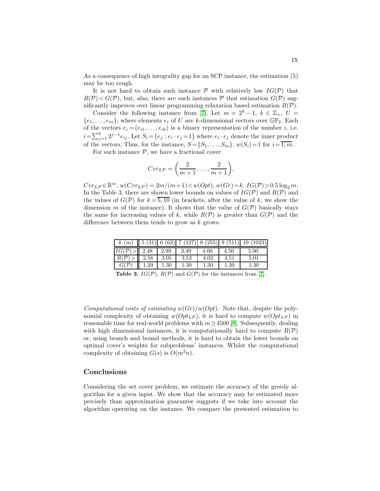As a consequence of high integrality gap for an SCP instance, the estimation (5) may be too rough.

It is not hard to obtain such instance  $P$  with relatively low  $IG(P)$  that  $R(\mathcal{P}) < G(\mathcal{P})$ , but, also, there are such instances  $\mathcal P$  that estimation  $G(\mathcal{P})$  sagnificantly improves over linear programming relaxation based estimation  $R(\mathcal{P})$ .

Consider the following instance from [\[7\]](#page-9-6). Let  $m = 2<sup>k</sup> - 1$ ,  $k \in \mathbb{Z}_+$ ,  $U =$  ${e_1, \ldots, e_m}$ , where elements  $e_i$  of U are k-dimensional vectors over  $\mathbb{GF}_2$ . Each of the vectors  $e_i = (e_{i1}, \ldots, e_{ik})$  is a binary representation of the number i, i.e.  $i = \sum_{j=1}^{k} 2^{j-1} e_{ij}$ . Let  $S_i = \{e_j : e_i \cdot e_j = 1\}$  where  $e_i \cdot e_j$  denote the inner product of the vectors. Thus, for the instance,  $S = \{S_1, \ldots, S_m\}$ .  $w(S_i) = 1$  for  $i = \overline{1, m}$ .

For such instance  $P$ , we have a fractional cover

$$
Cvr_{LP} = \left(\frac{2}{m+1}, \dots, \frac{2}{m+1}\right),
$$

 $Cvr_{LP} \in \mathbb{R}^m$ .  $w(Cvr_{LP}) = 2m/(m+1) < w(Opt)$ ,  $w(Gr) = k$ .  $IG(\mathcal{P}) > 0.5 \log_2 m$ . In the Table 3, there are shown lower bounds on values of  $IG(\mathcal{P})$  and  $R(\mathcal{P})$  and the values of  $G(\mathcal{P})$  for  $k = 5, 10$  (in brackets, after the value of k, we show the dimension m of the instance). It shows that the value of  $G(\mathcal{P})$  basically stays the same for increasing values of k, while  $R(\mathcal{P})$  is greater than  $G(\mathcal{P})$  and the difference between them tends to grow as k grows.

| k(m)                                                                                                                                                                                                                                                                                                                                                                                                                                                                       |          |          |      |           |      | $\  5 (31) \  6 (63) \  7 (127) \  8 (255) \  9 (511) \  10 (1023) \ $ |
|----------------------------------------------------------------------------------------------------------------------------------------------------------------------------------------------------------------------------------------------------------------------------------------------------------------------------------------------------------------------------------------------------------------------------------------------------------------------------|----------|----------|------|-----------|------|------------------------------------------------------------------------|
| $IG(\mathcal{P}) >$                                                                                                                                                                                                                                                                                                                                                                                                                                                        | 2.48     | 2.99     | 3.49 | 4.00      | 4.50 | 5.00                                                                   |
| $R(\mathcal{P})$                                                                                                                                                                                                                                                                                                                                                                                                                                                           | 2.58     | 3.05     | 3.53 | 4.02      | 4.51 | 5.01                                                                   |
| $G(\mathcal{F}% )=\left( \mathcal{F}_{A_{1}}\right) ^{\ast }=\mathcal{F}_{A_{1}}\left( \mathcal{F}_{A_{2}}\right) ^{\ast }=\mathcal{F}_{A_{1}}\left( \mathcal{F}_{A_{1}}\right) ^{\ast }=\mathcal{F}_{A_{1}}\left( \mathcal{F}_{A_{2}}\right) ^{\ast }=\mathcal{F}_{A_{1}}\left( \mathcal{F}_{A_{1}}\right) ^{\ast }=\mathcal{F}_{A_{1}}\left( \mathcal{F}_{A_{2}}\right) ^{\ast }=\mathcal{F}_{A_{1}}\left( \mathcal{F}_{A_{1}}\right) ^{\ast }=\mathcal{F}_{A_{1}}\left$ | $1.29\,$ | $1.30\,$ | 1.30 | $_{1.30}$ | 1.30 | $1.30\,$                                                               |

**Table 3.**  $IG(\mathcal{P}), R(\mathcal{P})$  and  $G(\mathcal{P})$  for the instances from [\[7\]](#page-9-6).

Computational costs of estimating  $w(Gr)/w(Opt)$ . Note that, despite the polynomial complexity of obtaining  $w(Opt_{LP})$ , it is hard to compute  $w(Opt_{LP})$  in reasonable time for real-world problems with  $m \geq 4500$  [\[8\]](#page-9-7). Subsequently, dealing with high dimensional instances, it is computationally hard to compute  $R(\mathcal{P})$ or, using branch and bound methods, it is hard to obtain the lower bounds on optimal cover's weights for subproblems' instances. Whilst the computational complexity of obtaining  $G(s)$  is  $O(m^2n)$ .

### Conclusions

Considering the set cover problem, we estimate the accuracy of the greedy algorithm for a given input. We show that the accuracy may be estimated more precisely than approximation guarantee suggests if we take into account the algorithm operating on the instance. We compare the presented estimation to